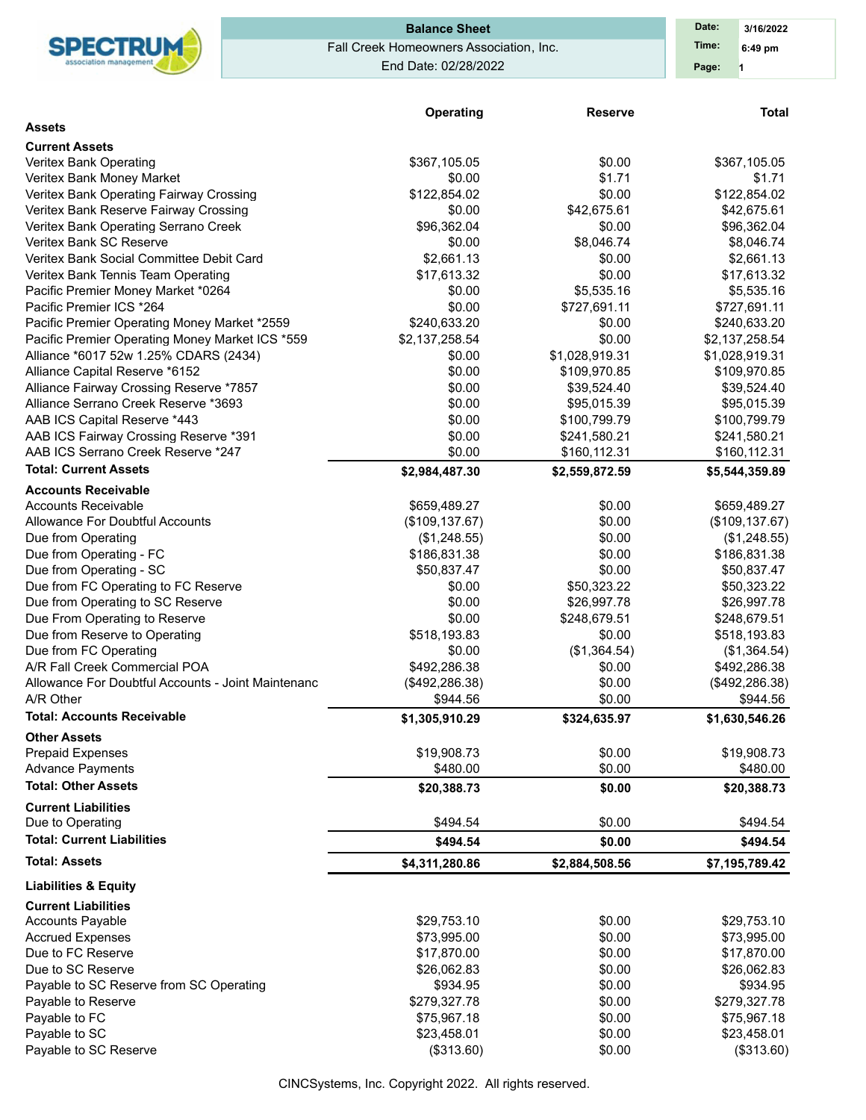

# Fall Creek Homeowners Association, Inc. End Date: 02/28/2022 **Balance Sheet Date: Date:**

|                                                    | Operating       | <b>Reserve</b> | <b>Total</b>    |
|----------------------------------------------------|-----------------|----------------|-----------------|
| <b>Assets</b>                                      |                 |                |                 |
| <b>Current Assets</b>                              |                 |                |                 |
| Veritex Bank Operating                             | \$367,105.05    | \$0.00         | \$367,105.05    |
| Veritex Bank Money Market                          | \$0.00          | \$1.71         | \$1.71          |
| Veritex Bank Operating Fairway Crossing            | \$122,854.02    | \$0.00         | \$122,854.02    |
| Veritex Bank Reserve Fairway Crossing              | \$0.00          | \$42,675.61    | \$42,675.61     |
| Veritex Bank Operating Serrano Creek               | \$96,362.04     | \$0.00         | \$96,362.04     |
| Veritex Bank SC Reserve                            | \$0.00          | \$8,046.74     | \$8,046.74      |
| Veritex Bank Social Committee Debit Card           | \$2,661.13      | \$0.00         | \$2,661.13      |
| Veritex Bank Tennis Team Operating                 | \$17,613.32     | \$0.00         | \$17,613.32     |
| Pacific Premier Money Market *0264                 | \$0.00          | \$5,535.16     | \$5,535.16      |
| Pacific Premier ICS *264                           | \$0.00          | \$727,691.11   | \$727,691.11    |
| Pacific Premier Operating Money Market *2559       | \$240,633.20    | \$0.00         | \$240,633.20    |
| Pacific Premier Operating Money Market ICS *559    | \$2,137,258.54  | \$0.00         | \$2,137,258.54  |
| Alliance *6017 52w 1.25% CDARS (2434)              | \$0.00          | \$1,028,919.31 | \$1,028,919.31  |
| Alliance Capital Reserve *6152                     | \$0.00          | \$109,970.85   | \$109,970.85    |
| Alliance Fairway Crossing Reserve *7857            | \$0.00          | \$39,524.40    | \$39,524.40     |
| Alliance Serrano Creek Reserve *3693               | \$0.00          | \$95,015.39    | \$95,015.39     |
| AAB ICS Capital Reserve *443                       | \$0.00          | \$100,799.79   | \$100,799.79    |
| AAB ICS Fairway Crossing Reserve *391              | \$0.00          | \$241,580.21   | \$241,580.21    |
| AAB ICS Serrano Creek Reserve *247                 | \$0.00          | \$160,112.31   | \$160,112.31    |
| <b>Total: Current Assets</b>                       | \$2,984,487.30  | \$2,559,872.59 | \$5,544,359.89  |
| <b>Accounts Receivable</b>                         |                 |                |                 |
| <b>Accounts Receivable</b>                         | \$659,489.27    | \$0.00         | \$659,489.27    |
| Allowance For Doubtful Accounts                    | (\$109, 137.67) | \$0.00         | (\$109, 137.67) |
| Due from Operating                                 | (\$1,248.55)    | \$0.00         | (\$1,248.55)    |
| Due from Operating - FC                            | \$186,831.38    | \$0.00         | \$186,831.38    |
| Due from Operating - SC                            | \$50,837.47     | \$0.00         | \$50,837.47     |
| Due from FC Operating to FC Reserve                | \$0.00          | \$50,323.22    | \$50,323.22     |
| Due from Operating to SC Reserve                   | \$0.00          | \$26,997.78    | \$26,997.78     |
| Due From Operating to Reserve                      | \$0.00          | \$248,679.51   | \$248,679.51    |
| Due from Reserve to Operating                      | \$518,193.83    | \$0.00         | \$518,193.83    |
| Due from FC Operating                              | \$0.00          | (\$1,364.54)   | (\$1,364.54)    |
| A/R Fall Creek Commercial POA                      | \$492,286.38    | \$0.00         | \$492,286.38    |
| Allowance For Doubtful Accounts - Joint Maintenanc | (\$492,286.38)  | \$0.00         | (\$492, 286.38) |
| A/R Other                                          | \$944.56        | \$0.00         | \$944.56        |
| <b>Total: Accounts Receivable</b>                  | \$1,305,910.29  | \$324,635.97   | \$1,630,546.26  |
| <b>Other Assets</b>                                |                 |                |                 |
| <b>Prepaid Expenses</b>                            | \$19,908.73     | \$0.00         | \$19,908.73     |
| <b>Advance Payments</b>                            | \$480.00        | \$0.00         | \$480.00        |
| <b>Total: Other Assets</b>                         | \$20,388.73     | \$0.00         | \$20,388.73     |
| <b>Current Liabilities</b>                         |                 |                |                 |
| Due to Operating                                   | \$494.54        | \$0.00         | \$494.54        |
| <b>Total: Current Liabilities</b>                  | \$494.54        | \$0.00         | \$494.54        |
| <b>Total: Assets</b>                               | \$4,311,280.86  | \$2,884,508.56 | \$7,195,789.42  |
| <b>Liabilities &amp; Equity</b>                    |                 |                |                 |
| <b>Current Liabilities</b>                         |                 |                |                 |
| <b>Accounts Payable</b>                            | \$29,753.10     | \$0.00         | \$29,753.10     |
| <b>Accrued Expenses</b>                            | \$73,995.00     | \$0.00         | \$73,995.00     |
| Due to FC Reserve                                  | \$17,870.00     | \$0.00         | \$17,870.00     |
| Due to SC Reserve                                  | \$26,062.83     | \$0.00         | \$26,062.83     |
| Payable to SC Reserve from SC Operating            | \$934.95        | \$0.00         | \$934.95        |
| Payable to Reserve                                 | \$279,327.78    | \$0.00         | \$279,327.78    |
| Payable to FC                                      | \$75,967.18     | \$0.00         | \$75,967.18     |
| Payable to SC                                      | \$23,458.01     | \$0.00         | \$23,458.01     |
| Payable to SC Reserve                              | (\$313.60)      | \$0.00         | (\$313.60)      |

CINCSystems, Inc. Copyright 2022. All rights reserved.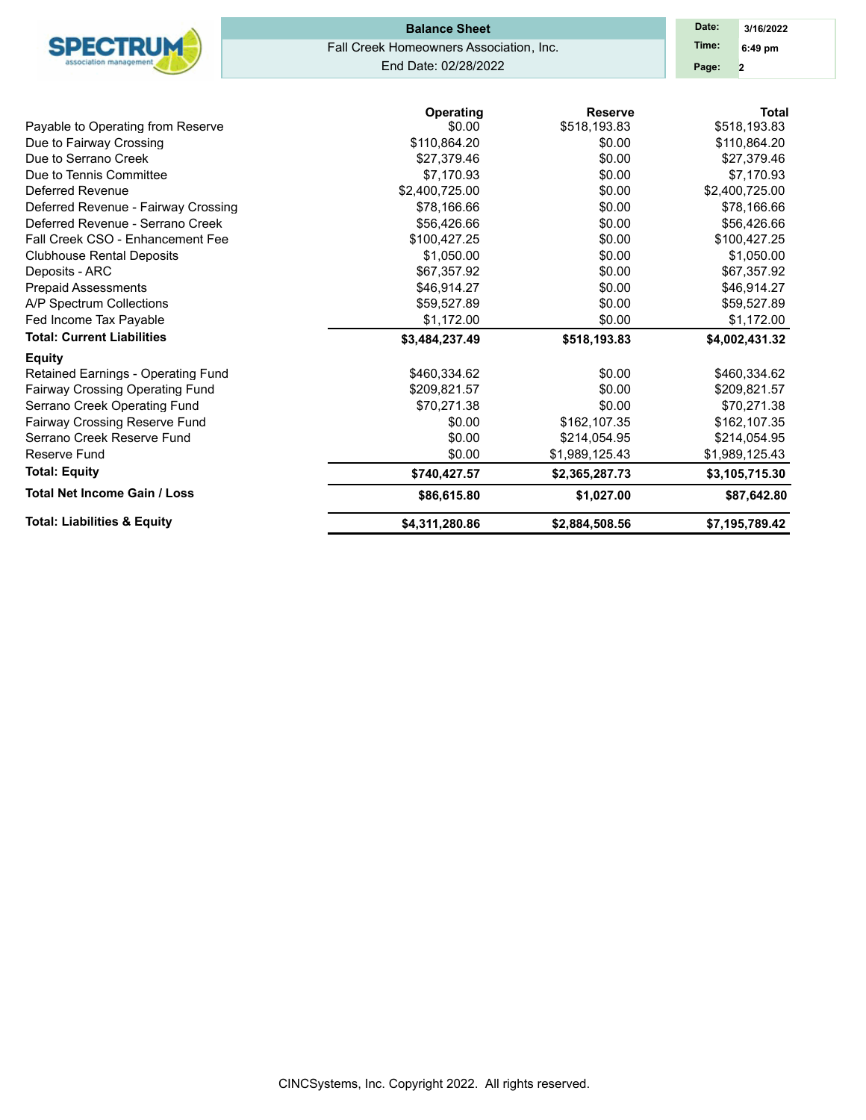|                                                     | <b>Balance Sheet</b>                    |                         |                  |  |  |  |  |  |  |
|-----------------------------------------------------|-----------------------------------------|-------------------------|------------------|--|--|--|--|--|--|
| <b>SPECTRUM</b>                                     | Fall Creek Homeowners Association, Inc. |                         | Time:<br>6:49 pm |  |  |  |  |  |  |
|                                                     | End Date: 02/28/2022                    | Page:<br>$\overline{2}$ |                  |  |  |  |  |  |  |
|                                                     | Operating                               | <b>Reserve</b>          | <b>Total</b>     |  |  |  |  |  |  |
| Payable to Operating from Reserve                   | \$0.00                                  | \$518,193.83            | \$518,193.83     |  |  |  |  |  |  |
| Due to Fairway Crossing                             | \$110,864.20                            | \$0.00                  | \$110,864.20     |  |  |  |  |  |  |
| Due to Serrano Creek                                | \$27,379.46                             | \$0.00                  | \$27,379.46      |  |  |  |  |  |  |
| Due to Tennis Committee                             | \$7,170.93                              | \$0.00                  | \$7,170.93       |  |  |  |  |  |  |
| Deferred Revenue                                    | \$2,400,725.00                          | \$0.00                  | \$2,400,725.00   |  |  |  |  |  |  |
| Deferred Revenue - Fairway Crossing                 | \$78,166.66                             | \$0.00                  | \$78,166.66      |  |  |  |  |  |  |
| Deferred Revenue - Serrano Creek                    | \$56,426.66                             | \$0.00                  | \$56,426.66      |  |  |  |  |  |  |
| Fall Creek CSO - Enhancement Fee                    | \$100,427.25                            | \$0.00                  | \$100,427.25     |  |  |  |  |  |  |
| <b>Clubhouse Rental Deposits</b>                    | \$1,050.00                              | \$0.00                  | \$1,050.00       |  |  |  |  |  |  |
| Deposits - ARC                                      | \$67,357.92                             | \$0.00                  | \$67,357.92      |  |  |  |  |  |  |
| <b>Prepaid Assessments</b>                          | \$46,914.27                             | \$0.00                  | \$46,914.27      |  |  |  |  |  |  |
| A/P Spectrum Collections                            | \$59,527.89                             | \$0.00                  | \$59,527.89      |  |  |  |  |  |  |
| Fed Income Tax Payable                              | \$1,172.00                              | \$0.00                  | \$1,172.00       |  |  |  |  |  |  |
| <b>Total: Current Liabilities</b>                   | \$3,484,237.49                          | \$518,193.83            | \$4,002,431.32   |  |  |  |  |  |  |
| <b>Equity</b><br>Retained Earnings - Operating Fund | \$460,334.62                            | \$0.00                  | \$460,334.62     |  |  |  |  |  |  |
| Fairway Crossing Operating Fund                     | \$209,821.57                            | \$0.00                  | \$209,821.57     |  |  |  |  |  |  |
| Serrano Creek Operating Fund                        | \$70,271.38                             | \$0.00                  | \$70,271.38      |  |  |  |  |  |  |
| Fairway Crossing Reserve Fund                       | \$0.00                                  | \$162,107.35            | \$162,107.35     |  |  |  |  |  |  |
| Serrano Creek Reserve Fund                          | \$0.00                                  | \$214,054.95            | \$214,054.95     |  |  |  |  |  |  |
| Reserve Fund                                        | \$0.00                                  | \$1,989,125.43          | \$1,989,125.43   |  |  |  |  |  |  |
| <b>Total: Equity</b>                                | \$740,427.57                            | \$2,365,287.73          | \$3,105,715.30   |  |  |  |  |  |  |
| <b>Total Net Income Gain / Loss</b>                 | \$86,615.80                             | \$1,027.00              | \$87,642.80      |  |  |  |  |  |  |
| <b>Total: Liabilities &amp; Equity</b>              | \$4,311,280.86                          | \$2,884,508.56          | \$7,195,789.42   |  |  |  |  |  |  |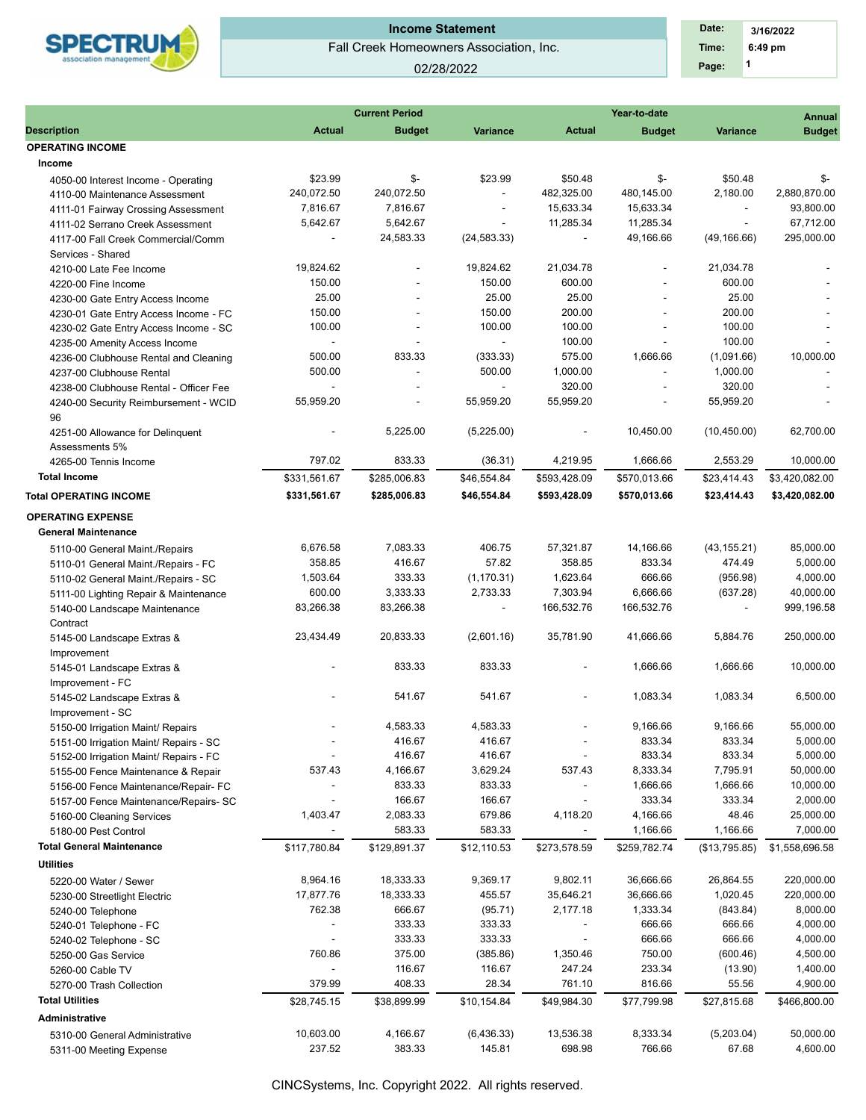

## 02/28/2022

 **1 Time: 6:49 pm 3/16/2022 Date: Page:**

| <b>Description</b><br><b>Budget</b><br><b>Variance</b><br>Actual<br><b>Budget</b><br><b>Actual</b><br><b>OPERATING INCOME</b><br>Income<br>\$23.99<br>\$-<br>\$23.99<br>\$50.48<br>4050-00 Interest Income - Operating<br>240,072.50<br>240,072.50<br>482.325.00<br>480,145.00<br>4110-00 Maintenance Assessment<br>$\overline{\phantom{a}}$<br>7,816.67<br>7,816.67<br>15,633.34<br>15,633.34<br>4111-01 Fairway Crossing Assessment<br>$\overline{\phantom{a}}$<br>5,642.67<br>5,642.67<br>11,285.34<br>11,285.34<br>4111-02 Serrano Creek Assessment<br>$\overline{\phantom{a}}$<br>24,583.33<br>(24, 583.33)<br>49,166.66<br>4117-00 Fall Creek Commercial/Comm<br>$\overline{\phantom{a}}$<br>$\overline{\phantom{a}}$<br>Services - Shared<br>19,824.62<br>21,034.78<br>19,824.62<br>4210-00 Late Fee Income<br>÷,<br>150.00<br>150.00<br>600.00<br>4220-00 Fine Income<br>25.00<br>25.00<br>25.00<br>4230-00 Gate Entry Access Income<br>200.00<br>150.00<br>150.00<br>4230-01 Gate Entry Access Income - FC<br>100.00<br>100.00<br>100.00<br>4230-02 Gate Entry Access Income - SC<br>100.00<br>4235-00 Amenity Access Income<br>$\sim$<br>$\sim$<br>575.00<br>500.00<br>833.33<br>(333.33)<br>1,666.66<br>4236-00 Clubhouse Rental and Cleaning<br>500.00<br>1,000.00<br>500.00<br>4237-00 Clubhouse Rental<br>$\overline{a}$<br>320.00<br>4238-00 Clubhouse Rental - Officer Fee<br>$\omega$<br>55,959.20<br>55,959.20<br>55,959.20<br>4240-00 Security Reimbursement - WCID<br>96<br>5,225.00<br>(5,225.00)<br>10,450.00<br>4251-00 Allowance for Delinquent<br>$\overline{\phantom{a}}$<br>Assessments 5%<br>797.02<br>833.33<br>4,219.95<br>1,666.66<br>(36.31)<br>4265-00 Tennis Income | <b>Variance</b><br>\$-<br>\$50.48<br>2,180.00<br>$\overline{\phantom{a}}$<br>÷.<br>(49, 166.66)<br>21,034.78<br>$\overline{\phantom{a}}$<br>600.00<br>25.00<br>200.00<br>100.00<br>100.00<br>(1,091.66)<br>1,000.00<br>320.00<br>$\overline{a}$<br>55,959.20<br>(10, 450.00)<br>2.553.29<br>\$23,414.43 | <b>Budget</b><br>\$-<br>2,880,870.00<br>93,800.00<br>67,712.00<br>295,000.00<br>10,000.00<br>62,700.00 |
|-------------------------------------------------------------------------------------------------------------------------------------------------------------------------------------------------------------------------------------------------------------------------------------------------------------------------------------------------------------------------------------------------------------------------------------------------------------------------------------------------------------------------------------------------------------------------------------------------------------------------------------------------------------------------------------------------------------------------------------------------------------------------------------------------------------------------------------------------------------------------------------------------------------------------------------------------------------------------------------------------------------------------------------------------------------------------------------------------------------------------------------------------------------------------------------------------------------------------------------------------------------------------------------------------------------------------------------------------------------------------------------------------------------------------------------------------------------------------------------------------------------------------------------------------------------------------------------------------------------------------------------------------------------------------------------------------------|---------------------------------------------------------------------------------------------------------------------------------------------------------------------------------------------------------------------------------------------------------------------------------------------------------|--------------------------------------------------------------------------------------------------------|
|                                                                                                                                                                                                                                                                                                                                                                                                                                                                                                                                                                                                                                                                                                                                                                                                                                                                                                                                                                                                                                                                                                                                                                                                                                                                                                                                                                                                                                                                                                                                                                                                                                                                                                       |                                                                                                                                                                                                                                                                                                         |                                                                                                        |
|                                                                                                                                                                                                                                                                                                                                                                                                                                                                                                                                                                                                                                                                                                                                                                                                                                                                                                                                                                                                                                                                                                                                                                                                                                                                                                                                                                                                                                                                                                                                                                                                                                                                                                       |                                                                                                                                                                                                                                                                                                         |                                                                                                        |
|                                                                                                                                                                                                                                                                                                                                                                                                                                                                                                                                                                                                                                                                                                                                                                                                                                                                                                                                                                                                                                                                                                                                                                                                                                                                                                                                                                                                                                                                                                                                                                                                                                                                                                       |                                                                                                                                                                                                                                                                                                         |                                                                                                        |
|                                                                                                                                                                                                                                                                                                                                                                                                                                                                                                                                                                                                                                                                                                                                                                                                                                                                                                                                                                                                                                                                                                                                                                                                                                                                                                                                                                                                                                                                                                                                                                                                                                                                                                       |                                                                                                                                                                                                                                                                                                         |                                                                                                        |
|                                                                                                                                                                                                                                                                                                                                                                                                                                                                                                                                                                                                                                                                                                                                                                                                                                                                                                                                                                                                                                                                                                                                                                                                                                                                                                                                                                                                                                                                                                                                                                                                                                                                                                       |                                                                                                                                                                                                                                                                                                         |                                                                                                        |
|                                                                                                                                                                                                                                                                                                                                                                                                                                                                                                                                                                                                                                                                                                                                                                                                                                                                                                                                                                                                                                                                                                                                                                                                                                                                                                                                                                                                                                                                                                                                                                                                                                                                                                       |                                                                                                                                                                                                                                                                                                         |                                                                                                        |
|                                                                                                                                                                                                                                                                                                                                                                                                                                                                                                                                                                                                                                                                                                                                                                                                                                                                                                                                                                                                                                                                                                                                                                                                                                                                                                                                                                                                                                                                                                                                                                                                                                                                                                       |                                                                                                                                                                                                                                                                                                         |                                                                                                        |
|                                                                                                                                                                                                                                                                                                                                                                                                                                                                                                                                                                                                                                                                                                                                                                                                                                                                                                                                                                                                                                                                                                                                                                                                                                                                                                                                                                                                                                                                                                                                                                                                                                                                                                       |                                                                                                                                                                                                                                                                                                         |                                                                                                        |
|                                                                                                                                                                                                                                                                                                                                                                                                                                                                                                                                                                                                                                                                                                                                                                                                                                                                                                                                                                                                                                                                                                                                                                                                                                                                                                                                                                                                                                                                                                                                                                                                                                                                                                       |                                                                                                                                                                                                                                                                                                         |                                                                                                        |
|                                                                                                                                                                                                                                                                                                                                                                                                                                                                                                                                                                                                                                                                                                                                                                                                                                                                                                                                                                                                                                                                                                                                                                                                                                                                                                                                                                                                                                                                                                                                                                                                                                                                                                       |                                                                                                                                                                                                                                                                                                         |                                                                                                        |
|                                                                                                                                                                                                                                                                                                                                                                                                                                                                                                                                                                                                                                                                                                                                                                                                                                                                                                                                                                                                                                                                                                                                                                                                                                                                                                                                                                                                                                                                                                                                                                                                                                                                                                       |                                                                                                                                                                                                                                                                                                         |                                                                                                        |
|                                                                                                                                                                                                                                                                                                                                                                                                                                                                                                                                                                                                                                                                                                                                                                                                                                                                                                                                                                                                                                                                                                                                                                                                                                                                                                                                                                                                                                                                                                                                                                                                                                                                                                       |                                                                                                                                                                                                                                                                                                         |                                                                                                        |
|                                                                                                                                                                                                                                                                                                                                                                                                                                                                                                                                                                                                                                                                                                                                                                                                                                                                                                                                                                                                                                                                                                                                                                                                                                                                                                                                                                                                                                                                                                                                                                                                                                                                                                       |                                                                                                                                                                                                                                                                                                         |                                                                                                        |
|                                                                                                                                                                                                                                                                                                                                                                                                                                                                                                                                                                                                                                                                                                                                                                                                                                                                                                                                                                                                                                                                                                                                                                                                                                                                                                                                                                                                                                                                                                                                                                                                                                                                                                       |                                                                                                                                                                                                                                                                                                         |                                                                                                        |
|                                                                                                                                                                                                                                                                                                                                                                                                                                                                                                                                                                                                                                                                                                                                                                                                                                                                                                                                                                                                                                                                                                                                                                                                                                                                                                                                                                                                                                                                                                                                                                                                                                                                                                       |                                                                                                                                                                                                                                                                                                         |                                                                                                        |
|                                                                                                                                                                                                                                                                                                                                                                                                                                                                                                                                                                                                                                                                                                                                                                                                                                                                                                                                                                                                                                                                                                                                                                                                                                                                                                                                                                                                                                                                                                                                                                                                                                                                                                       |                                                                                                                                                                                                                                                                                                         |                                                                                                        |
|                                                                                                                                                                                                                                                                                                                                                                                                                                                                                                                                                                                                                                                                                                                                                                                                                                                                                                                                                                                                                                                                                                                                                                                                                                                                                                                                                                                                                                                                                                                                                                                                                                                                                                       |                                                                                                                                                                                                                                                                                                         |                                                                                                        |
|                                                                                                                                                                                                                                                                                                                                                                                                                                                                                                                                                                                                                                                                                                                                                                                                                                                                                                                                                                                                                                                                                                                                                                                                                                                                                                                                                                                                                                                                                                                                                                                                                                                                                                       |                                                                                                                                                                                                                                                                                                         |                                                                                                        |
|                                                                                                                                                                                                                                                                                                                                                                                                                                                                                                                                                                                                                                                                                                                                                                                                                                                                                                                                                                                                                                                                                                                                                                                                                                                                                                                                                                                                                                                                                                                                                                                                                                                                                                       |                                                                                                                                                                                                                                                                                                         |                                                                                                        |
|                                                                                                                                                                                                                                                                                                                                                                                                                                                                                                                                                                                                                                                                                                                                                                                                                                                                                                                                                                                                                                                                                                                                                                                                                                                                                                                                                                                                                                                                                                                                                                                                                                                                                                       |                                                                                                                                                                                                                                                                                                         |                                                                                                        |
|                                                                                                                                                                                                                                                                                                                                                                                                                                                                                                                                                                                                                                                                                                                                                                                                                                                                                                                                                                                                                                                                                                                                                                                                                                                                                                                                                                                                                                                                                                                                                                                                                                                                                                       |                                                                                                                                                                                                                                                                                                         |                                                                                                        |
|                                                                                                                                                                                                                                                                                                                                                                                                                                                                                                                                                                                                                                                                                                                                                                                                                                                                                                                                                                                                                                                                                                                                                                                                                                                                                                                                                                                                                                                                                                                                                                                                                                                                                                       |                                                                                                                                                                                                                                                                                                         | 10,000.00                                                                                              |
| <b>Total Income</b><br>\$331.561.67<br>\$285,006.83<br>\$46,554.84<br>\$593,428.09<br>\$570,013.66                                                                                                                                                                                                                                                                                                                                                                                                                                                                                                                                                                                                                                                                                                                                                                                                                                                                                                                                                                                                                                                                                                                                                                                                                                                                                                                                                                                                                                                                                                                                                                                                    |                                                                                                                                                                                                                                                                                                         | \$3,420,082.00                                                                                         |
| \$331,561.67<br>\$285,006.83<br>\$46,554.84<br>\$593,428.09<br>\$570,013.66<br><b>Total OPERATING INCOME</b>                                                                                                                                                                                                                                                                                                                                                                                                                                                                                                                                                                                                                                                                                                                                                                                                                                                                                                                                                                                                                                                                                                                                                                                                                                                                                                                                                                                                                                                                                                                                                                                          | \$23,414.43                                                                                                                                                                                                                                                                                             | \$3,420,082.00                                                                                         |
| <b>OPERATING EXPENSE</b>                                                                                                                                                                                                                                                                                                                                                                                                                                                                                                                                                                                                                                                                                                                                                                                                                                                                                                                                                                                                                                                                                                                                                                                                                                                                                                                                                                                                                                                                                                                                                                                                                                                                              |                                                                                                                                                                                                                                                                                                         |                                                                                                        |
| <b>General Maintenance</b>                                                                                                                                                                                                                                                                                                                                                                                                                                                                                                                                                                                                                                                                                                                                                                                                                                                                                                                                                                                                                                                                                                                                                                                                                                                                                                                                                                                                                                                                                                                                                                                                                                                                            |                                                                                                                                                                                                                                                                                                         |                                                                                                        |
| 406.75                                                                                                                                                                                                                                                                                                                                                                                                                                                                                                                                                                                                                                                                                                                                                                                                                                                                                                                                                                                                                                                                                                                                                                                                                                                                                                                                                                                                                                                                                                                                                                                                                                                                                                |                                                                                                                                                                                                                                                                                                         |                                                                                                        |
| 7,083.33<br>57,321.87<br>14,166.66<br>6,676.58<br>5110-00 General Maint./Repairs<br>358.85<br>416.67<br>57.82<br>358.85<br>833.34                                                                                                                                                                                                                                                                                                                                                                                                                                                                                                                                                                                                                                                                                                                                                                                                                                                                                                                                                                                                                                                                                                                                                                                                                                                                                                                                                                                                                                                                                                                                                                     | (43, 155.21)<br>474.49                                                                                                                                                                                                                                                                                  | 85,000.00<br>5,000.00                                                                                  |
| 5110-01 General Maint./Repairs - FC<br>1,503.64<br>333.33<br>(1, 170.31)<br>1,623.64<br>666.66                                                                                                                                                                                                                                                                                                                                                                                                                                                                                                                                                                                                                                                                                                                                                                                                                                                                                                                                                                                                                                                                                                                                                                                                                                                                                                                                                                                                                                                                                                                                                                                                        | (956.98)                                                                                                                                                                                                                                                                                                | 4,000.00                                                                                               |
| 5110-02 General Maint./Repairs - SC<br>600.00<br>2,733.33                                                                                                                                                                                                                                                                                                                                                                                                                                                                                                                                                                                                                                                                                                                                                                                                                                                                                                                                                                                                                                                                                                                                                                                                                                                                                                                                                                                                                                                                                                                                                                                                                                             |                                                                                                                                                                                                                                                                                                         |                                                                                                        |
| 3,333.33<br>7,303.94<br>6,666.66<br>5111-00 Lighting Repair & Maintenance                                                                                                                                                                                                                                                                                                                                                                                                                                                                                                                                                                                                                                                                                                                                                                                                                                                                                                                                                                                                                                                                                                                                                                                                                                                                                                                                                                                                                                                                                                                                                                                                                             | (637.28)                                                                                                                                                                                                                                                                                                | 40,000.00                                                                                              |
| 83,266.38<br>83,266.38<br>166,532.76<br>166,532.76<br>5140-00 Landscape Maintenance<br>$\overline{\phantom{a}}$                                                                                                                                                                                                                                                                                                                                                                                                                                                                                                                                                                                                                                                                                                                                                                                                                                                                                                                                                                                                                                                                                                                                                                                                                                                                                                                                                                                                                                                                                                                                                                                       | $\overline{\phantom{a}}$                                                                                                                                                                                                                                                                                | 999,196.58                                                                                             |
| Contract<br>23,434.49<br>20,833.33<br>35,781.90<br>(2,601.16)<br>41,666.66                                                                                                                                                                                                                                                                                                                                                                                                                                                                                                                                                                                                                                                                                                                                                                                                                                                                                                                                                                                                                                                                                                                                                                                                                                                                                                                                                                                                                                                                                                                                                                                                                            | 5,884.76                                                                                                                                                                                                                                                                                                | 250,000.00                                                                                             |
| 5145-00 Landscape Extras &                                                                                                                                                                                                                                                                                                                                                                                                                                                                                                                                                                                                                                                                                                                                                                                                                                                                                                                                                                                                                                                                                                                                                                                                                                                                                                                                                                                                                                                                                                                                                                                                                                                                            |                                                                                                                                                                                                                                                                                                         |                                                                                                        |
| Improvement<br>833.33<br>833.33<br>1,666.66<br>5145-01 Landscape Extras &                                                                                                                                                                                                                                                                                                                                                                                                                                                                                                                                                                                                                                                                                                                                                                                                                                                                                                                                                                                                                                                                                                                                                                                                                                                                                                                                                                                                                                                                                                                                                                                                                             | 1,666.66                                                                                                                                                                                                                                                                                                | 10,000.00                                                                                              |
|                                                                                                                                                                                                                                                                                                                                                                                                                                                                                                                                                                                                                                                                                                                                                                                                                                                                                                                                                                                                                                                                                                                                                                                                                                                                                                                                                                                                                                                                                                                                                                                                                                                                                                       |                                                                                                                                                                                                                                                                                                         |                                                                                                        |
| Improvement - FC<br>541.67<br>541.67<br>1,083.34<br>5145-02 Landscape Extras &                                                                                                                                                                                                                                                                                                                                                                                                                                                                                                                                                                                                                                                                                                                                                                                                                                                                                                                                                                                                                                                                                                                                                                                                                                                                                                                                                                                                                                                                                                                                                                                                                        | 1,083.34                                                                                                                                                                                                                                                                                                | 6,500.00                                                                                               |
|                                                                                                                                                                                                                                                                                                                                                                                                                                                                                                                                                                                                                                                                                                                                                                                                                                                                                                                                                                                                                                                                                                                                                                                                                                                                                                                                                                                                                                                                                                                                                                                                                                                                                                       |                                                                                                                                                                                                                                                                                                         |                                                                                                        |
| Improvement - SC<br>4,583.33<br>4,583.33<br>9,166.66                                                                                                                                                                                                                                                                                                                                                                                                                                                                                                                                                                                                                                                                                                                                                                                                                                                                                                                                                                                                                                                                                                                                                                                                                                                                                                                                                                                                                                                                                                                                                                                                                                                  | 9,166.66                                                                                                                                                                                                                                                                                                | 55,000.00                                                                                              |
| 5150-00 Irrigation Maint/ Repairs                                                                                                                                                                                                                                                                                                                                                                                                                                                                                                                                                                                                                                                                                                                                                                                                                                                                                                                                                                                                                                                                                                                                                                                                                                                                                                                                                                                                                                                                                                                                                                                                                                                                     |                                                                                                                                                                                                                                                                                                         | 5,000.00                                                                                               |
| 5151-00 Irrigation Maint/ Repairs - SC<br>416.67<br>416.67<br>833.34<br>416.67<br>416.67<br>833.34                                                                                                                                                                                                                                                                                                                                                                                                                                                                                                                                                                                                                                                                                                                                                                                                                                                                                                                                                                                                                                                                                                                                                                                                                                                                                                                                                                                                                                                                                                                                                                                                    | 833.34<br>833.34                                                                                                                                                                                                                                                                                        | 5,000.00                                                                                               |
| 5152-00 Irrigation Maint/ Repairs - FC<br>537.43<br>3,629.24<br>537.43<br>8,333.34<br>4,166.67                                                                                                                                                                                                                                                                                                                                                                                                                                                                                                                                                                                                                                                                                                                                                                                                                                                                                                                                                                                                                                                                                                                                                                                                                                                                                                                                                                                                                                                                                                                                                                                                        | 7,795.91                                                                                                                                                                                                                                                                                                | 50,000.00                                                                                              |
| 5155-00 Fence Maintenance & Repair<br>833.33<br>1,666.66<br>833.33                                                                                                                                                                                                                                                                                                                                                                                                                                                                                                                                                                                                                                                                                                                                                                                                                                                                                                                                                                                                                                                                                                                                                                                                                                                                                                                                                                                                                                                                                                                                                                                                                                    | 1,666.66                                                                                                                                                                                                                                                                                                | 10,000.00                                                                                              |
| 5156-00 Fence Maintenance/Repair- FC<br>166.67<br>166.67<br>333.34                                                                                                                                                                                                                                                                                                                                                                                                                                                                                                                                                                                                                                                                                                                                                                                                                                                                                                                                                                                                                                                                                                                                                                                                                                                                                                                                                                                                                                                                                                                                                                                                                                    | 333.34                                                                                                                                                                                                                                                                                                  | 2,000.00                                                                                               |
| 5157-00 Fence Maintenance/Repairs- SC<br>2,083.33<br>679.86<br>4,166.66<br>1,403.47<br>4,118.20                                                                                                                                                                                                                                                                                                                                                                                                                                                                                                                                                                                                                                                                                                                                                                                                                                                                                                                                                                                                                                                                                                                                                                                                                                                                                                                                                                                                                                                                                                                                                                                                       | 48.46                                                                                                                                                                                                                                                                                                   | 25,000.00                                                                                              |
| 5160-00 Cleaning Services<br>583.33<br>583.33<br>1,166.66                                                                                                                                                                                                                                                                                                                                                                                                                                                                                                                                                                                                                                                                                                                                                                                                                                                                                                                                                                                                                                                                                                                                                                                                                                                                                                                                                                                                                                                                                                                                                                                                                                             | 1,166.66                                                                                                                                                                                                                                                                                                | 7,000.00                                                                                               |
| 5180-00 Pest Control                                                                                                                                                                                                                                                                                                                                                                                                                                                                                                                                                                                                                                                                                                                                                                                                                                                                                                                                                                                                                                                                                                                                                                                                                                                                                                                                                                                                                                                                                                                                                                                                                                                                                  |                                                                                                                                                                                                                                                                                                         |                                                                                                        |
| <b>Total General Maintenance</b><br>\$117,780.84<br>\$129,891.37<br>\$259,782.74<br>\$12,110.53<br>\$273,578.59                                                                                                                                                                                                                                                                                                                                                                                                                                                                                                                                                                                                                                                                                                                                                                                                                                                                                                                                                                                                                                                                                                                                                                                                                                                                                                                                                                                                                                                                                                                                                                                       | (\$13,795.85)                                                                                                                                                                                                                                                                                           | \$1,558,696.58                                                                                         |
| <b>Utilities</b>                                                                                                                                                                                                                                                                                                                                                                                                                                                                                                                                                                                                                                                                                                                                                                                                                                                                                                                                                                                                                                                                                                                                                                                                                                                                                                                                                                                                                                                                                                                                                                                                                                                                                      |                                                                                                                                                                                                                                                                                                         |                                                                                                        |
| 8,964.16<br>18,333.33<br>9,369.17<br>9,802.11<br>36,666.66<br>5220-00 Water / Sewer                                                                                                                                                                                                                                                                                                                                                                                                                                                                                                                                                                                                                                                                                                                                                                                                                                                                                                                                                                                                                                                                                                                                                                                                                                                                                                                                                                                                                                                                                                                                                                                                                   | 26,864.55                                                                                                                                                                                                                                                                                               | 220,000.00                                                                                             |
| 17,877.76<br>18,333.33<br>455.57<br>35,646.21<br>36,666.66<br>5230-00 Streetlight Electric                                                                                                                                                                                                                                                                                                                                                                                                                                                                                                                                                                                                                                                                                                                                                                                                                                                                                                                                                                                                                                                                                                                                                                                                                                                                                                                                                                                                                                                                                                                                                                                                            | 1,020.45                                                                                                                                                                                                                                                                                                | 220,000.00                                                                                             |
| 1,333.34<br>762.38<br>666.67<br>(95.71)<br>2,177.18<br>5240-00 Telephone                                                                                                                                                                                                                                                                                                                                                                                                                                                                                                                                                                                                                                                                                                                                                                                                                                                                                                                                                                                                                                                                                                                                                                                                                                                                                                                                                                                                                                                                                                                                                                                                                              | (843.84)                                                                                                                                                                                                                                                                                                | 8,000.00                                                                                               |
| 333.33<br>333.33<br>666.66<br>5240-01 Telephone - FC                                                                                                                                                                                                                                                                                                                                                                                                                                                                                                                                                                                                                                                                                                                                                                                                                                                                                                                                                                                                                                                                                                                                                                                                                                                                                                                                                                                                                                                                                                                                                                                                                                                  | 666.66                                                                                                                                                                                                                                                                                                  | 4,000.00                                                                                               |
| 333.33<br>333.33<br>666.66<br>5240-02 Telephone - SC                                                                                                                                                                                                                                                                                                                                                                                                                                                                                                                                                                                                                                                                                                                                                                                                                                                                                                                                                                                                                                                                                                                                                                                                                                                                                                                                                                                                                                                                                                                                                                                                                                                  | 666.66                                                                                                                                                                                                                                                                                                  | 4,000.00                                                                                               |
| 760.86<br>375.00<br>(385.86)<br>1,350.46<br>750.00<br>5250-00 Gas Service                                                                                                                                                                                                                                                                                                                                                                                                                                                                                                                                                                                                                                                                                                                                                                                                                                                                                                                                                                                                                                                                                                                                                                                                                                                                                                                                                                                                                                                                                                                                                                                                                             | (600.46)                                                                                                                                                                                                                                                                                                | 4,500.00                                                                                               |
| 116.67<br>247.24<br>233.34<br>116.67<br>5260-00 Cable TV                                                                                                                                                                                                                                                                                                                                                                                                                                                                                                                                                                                                                                                                                                                                                                                                                                                                                                                                                                                                                                                                                                                                                                                                                                                                                                                                                                                                                                                                                                                                                                                                                                              | (13.90)                                                                                                                                                                                                                                                                                                 | 1,400.00                                                                                               |
| 379.99<br>816.66<br>408.33<br>28.34<br>761.10<br>5270-00 Trash Collection                                                                                                                                                                                                                                                                                                                                                                                                                                                                                                                                                                                                                                                                                                                                                                                                                                                                                                                                                                                                                                                                                                                                                                                                                                                                                                                                                                                                                                                                                                                                                                                                                             | 55.56                                                                                                                                                                                                                                                                                                   | 4,900.00                                                                                               |
| <b>Total Utilities</b><br>\$28,745.15<br>\$38,899.99<br>\$10,154.84<br>\$49,984.30<br>\$77,799.98                                                                                                                                                                                                                                                                                                                                                                                                                                                                                                                                                                                                                                                                                                                                                                                                                                                                                                                                                                                                                                                                                                                                                                                                                                                                                                                                                                                                                                                                                                                                                                                                     | \$27,815.68                                                                                                                                                                                                                                                                                             | \$466,800.00                                                                                           |
| Administrative                                                                                                                                                                                                                                                                                                                                                                                                                                                                                                                                                                                                                                                                                                                                                                                                                                                                                                                                                                                                                                                                                                                                                                                                                                                                                                                                                                                                                                                                                                                                                                                                                                                                                        |                                                                                                                                                                                                                                                                                                         |                                                                                                        |
| 10,603.00<br>13,536.38<br>8,333.34<br>4,166.67<br>(6,436.33)<br>5310-00 General Administrative                                                                                                                                                                                                                                                                                                                                                                                                                                                                                                                                                                                                                                                                                                                                                                                                                                                                                                                                                                                                                                                                                                                                                                                                                                                                                                                                                                                                                                                                                                                                                                                                        | (5,203.04)                                                                                                                                                                                                                                                                                              | 50,000.00                                                                                              |
| 145.81<br>698.98<br>766.66<br>237.52<br>383.33<br>5311-00 Meeting Expense                                                                                                                                                                                                                                                                                                                                                                                                                                                                                                                                                                                                                                                                                                                                                                                                                                                                                                                                                                                                                                                                                                                                                                                                                                                                                                                                                                                                                                                                                                                                                                                                                             | 67.68                                                                                                                                                                                                                                                                                                   | 4,600.00                                                                                               |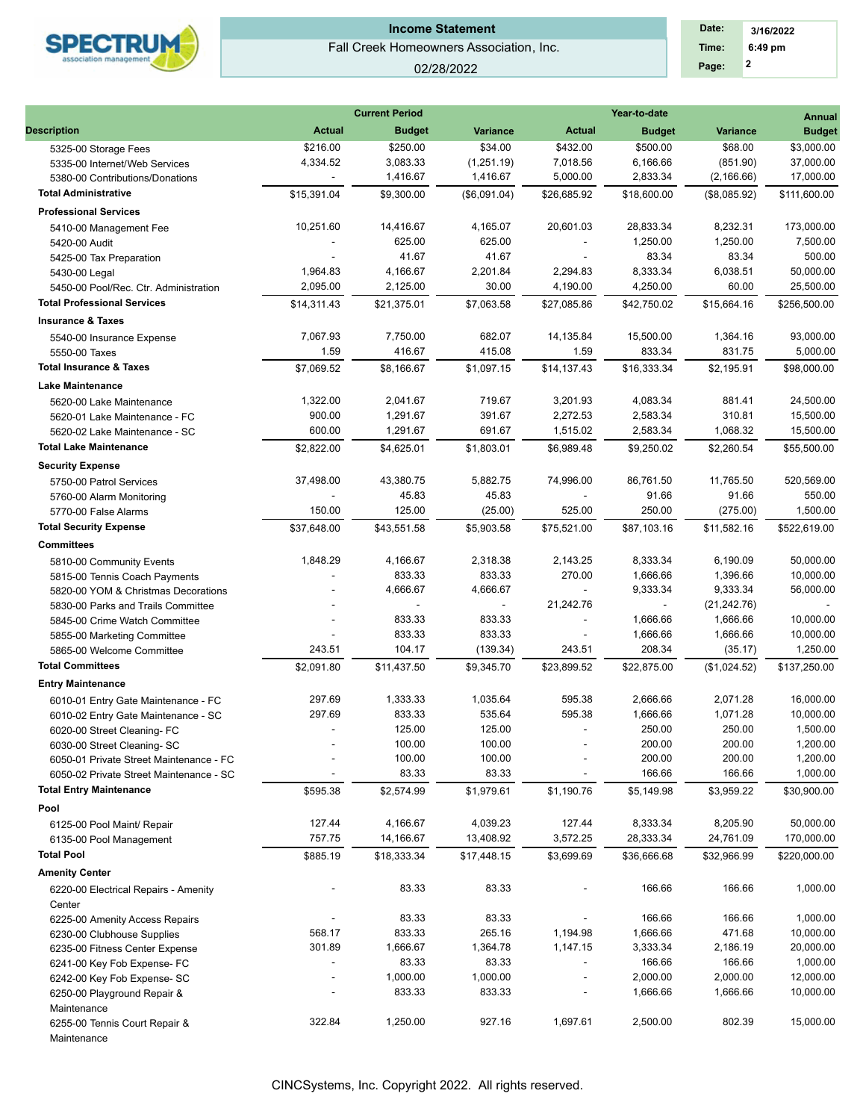

#### 02/28/2022

 **2 Time: 6:49 pm 3/16/2022 Date: Page:**

|                                                                       |                          | <b>Current Period</b> |                 |                          | <b>Annual</b>      |                 |                       |
|-----------------------------------------------------------------------|--------------------------|-----------------------|-----------------|--------------------------|--------------------|-----------------|-----------------------|
| Description                                                           | <b>Actual</b>            | <b>Budget</b>         | <b>Variance</b> | <b>Actual</b>            | <b>Budget</b>      | <b>Variance</b> | <b>Budget</b>         |
| 5325-00 Storage Fees                                                  | \$216.00                 | \$250.00              | \$34.00         | \$432.00                 | \$500.00           | \$68.00         | \$3,000.00            |
| 5335-00 Internet/Web Services                                         | 4,334.52                 | 3,083.33              | (1,251.19)      | 7,018.56                 | 6,166.66           | (851.90)        | 37,000.00             |
| 5380-00 Contributions/Donations                                       | $\blacksquare$           | 1,416.67              | 1,416.67        | 5,000.00                 | 2,833.34           | (2, 166.66)     | 17,000.00             |
| <b>Total Administrative</b>                                           | \$15,391.04              | \$9,300.00            | (\$6,091.04)    | \$26,685.92              | \$18,600.00        | (\$8,085.92)    | \$111,600.00          |
| <b>Professional Services</b>                                          |                          |                       |                 |                          |                    |                 |                       |
| 5410-00 Management Fee                                                | 10,251.60                | 14,416.67             | 4,165.07        | 20,601.03                | 28,833.34          | 8,232.31        | 173,000.00            |
| 5420-00 Audit                                                         |                          | 625.00                | 625.00          |                          | 1,250.00           | 1,250.00        | 7,500.00              |
| 5425-00 Tax Preparation                                               |                          | 41.67                 | 41.67           |                          | 83.34              | 83.34           | 500.00                |
| 5430-00 Legal                                                         | 1,964.83                 | 4,166.67              | 2,201.84        | 2,294.83                 | 8,333.34           | 6,038.51        | 50,000.00             |
| 5450-00 Pool/Rec. Ctr. Administration                                 | 2,095.00                 | 2,125.00              | 30.00           | 4,190.00                 | 4,250.00           | 60.00           | 25,500.00             |
| <b>Total Professional Services</b>                                    | \$14,311.43              | \$21.375.01           | \$7,063.58      | \$27,085.86              | \$42.750.02        | \$15.664.16     | \$256,500.00          |
| <b>Insurance &amp; Taxes</b>                                          |                          |                       |                 |                          |                    |                 |                       |
| 5540-00 Insurance Expense                                             | 7,067.93                 | 7,750.00              | 682.07          | 14,135.84                | 15,500.00          | 1,364.16        | 93,000.00             |
| 5550-00 Taxes                                                         | 1.59                     | 416.67                | 415.08          | 1.59                     | 833.34             | 831.75          | 5,000.00              |
| <b>Total Insurance &amp; Taxes</b>                                    | \$7,069.52               | \$8,166.67            | \$1,097.15      | \$14,137.43              | \$16,333.34        | \$2,195.91      | \$98,000.00           |
| <b>Lake Maintenance</b>                                               |                          |                       |                 |                          |                    |                 |                       |
| 5620-00 Lake Maintenance                                              | 1,322.00                 | 2,041.67              | 719.67          | 3,201.93                 | 4,083.34           | 881.41          | 24,500.00             |
| 5620-01 Lake Maintenance - FC                                         | 900.00                   | 1,291.67              | 391.67          | 2,272.53                 | 2,583.34           | 310.81          | 15,500.00             |
| 5620-02 Lake Maintenance - SC                                         | 600.00                   | 1,291.67              | 691.67          | 1,515.02                 | 2,583.34           | 1,068.32        | 15,500.00             |
| <b>Total Lake Maintenance</b>                                         | \$2,822.00               | \$4,625.01            | \$1,803.01      | \$6,989.48               | \$9,250.02         | \$2,260.54      | \$55,500.00           |
| <b>Security Expense</b>                                               |                          |                       |                 |                          |                    |                 |                       |
| 5750-00 Patrol Services                                               | 37,498.00                | 43,380.75             | 5,882.75        | 74,996.00                | 86,761.50          | 11,765.50       | 520,569.00            |
| 5760-00 Alarm Monitoring                                              |                          | 45.83                 | 45.83           |                          | 91.66              | 91.66           | 550.00                |
| 5770-00 False Alarms                                                  | 150.00                   | 125.00                | (25.00)         | 525.00                   | 250.00             | (275.00)        | 1,500.00              |
| <b>Total Security Expense</b>                                         | \$37,648.00              | \$43,551.58           | \$5,903.58      | \$75,521.00              | \$87,103.16        | \$11,582.16     | \$522,619.00          |
| <b>Committees</b>                                                     |                          |                       |                 |                          |                    |                 |                       |
| 5810-00 Community Events                                              | 1,848.29                 | 4,166.67              | 2,318.38        | 2,143.25                 | 8,333.34           | 6,190.09        | 50,000.00             |
| 5815-00 Tennis Coach Payments                                         |                          | 833.33                | 833.33          | 270.00                   | 1,666.66           | 1,396.66        | 10,000.00             |
| 5820-00 YOM & Christmas Decorations                                   |                          | 4,666.67              | 4,666.67        |                          | 9,333.34           | 9,333.34        | 56,000.00             |
| 5830-00 Parks and Trails Committee                                    |                          |                       |                 | 21,242.76                |                    | (21, 242.76)    |                       |
| 5845-00 Crime Watch Committee                                         |                          | 833.33                | 833.33          |                          | 1,666.66           | 1,666.66        | 10,000.00             |
| 5855-00 Marketing Committee                                           | 243.51                   | 833.33<br>104.17      | 833.33          | 243.51                   | 1,666.66<br>208.34 | 1,666.66        | 10,000.00<br>1,250.00 |
| 5865-00 Welcome Committee<br><b>Total Committees</b>                  |                          | \$11,437.50           | (139.34)        | \$23.899.52              |                    | (35.17)         |                       |
|                                                                       | \$2,091.80               |                       | \$9,345.70      |                          | \$22,875.00        | (\$1,024.52)    | \$137,250.00          |
| <b>Entry Maintenance</b>                                              | 297.69                   | 1,333.33              | 1,035.64        | 595.38                   | 2,666.66           | 2,071.28        | 16,000.00             |
| 6010-01 Entry Gate Maintenance - FC                                   | 297.69                   | 833.33                | 535.64          | 595.38                   | 1,666.66           | 1,071.28        | 10,000.00             |
| 6010-02 Entry Gate Maintenance - SC                                   | $\overline{\phantom{a}}$ | 125.00                | 125.00          |                          | 250.00             | 250.00          | 1,500.00              |
| 6020-00 Street Cleaning- FC                                           |                          | 100.00                | 100.00          |                          | 200.00             | 200.00          | 1,200.00              |
| 6030-00 Street Cleaning-SC<br>6050-01 Private Street Maintenance - FC |                          | 100.00                | 100.00          |                          | 200.00             | 200.00          | 1,200.00              |
| 6050-02 Private Street Maintenance - SC                               |                          | 83.33                 | 83.33           |                          | 166.66             | 166.66          | 1,000.00              |
| <b>Total Entry Maintenance</b>                                        | \$595.38                 | \$2,574.99            | \$1,979.61      | \$1,190.76               | \$5,149.98         | \$3,959.22      | \$30,900.00           |
| Pool                                                                  |                          |                       |                 |                          |                    |                 |                       |
| 6125-00 Pool Maint/ Repair                                            | 127.44                   | 4,166.67              | 4,039.23        | 127.44                   | 8,333.34           | 8,205.90        | 50,000.00             |
| 6135-00 Pool Management                                               | 757.75                   | 14,166.67             | 13,408.92       | 3,572.25                 | 28,333.34          | 24,761.09       | 170,000.00            |
| <b>Total Pool</b>                                                     | \$885.19                 | \$18,333.34           | \$17,448.15     | \$3,699.69               | \$36,666.68        | \$32,966.99     | \$220,000.00          |
| <b>Amenity Center</b>                                                 |                          |                       |                 |                          |                    |                 |                       |
| 6220-00 Electrical Repairs - Amenity<br>Center                        |                          | 83.33                 | 83.33           |                          | 166.66             | 166.66          | 1,000.00              |
| 6225-00 Amenity Access Repairs                                        | $\overline{\phantom{a}}$ | 83.33                 | 83.33           |                          | 166.66             | 166.66          | 1,000.00              |
| 6230-00 Clubhouse Supplies                                            | 568.17                   | 833.33                | 265.16          | 1,194.98                 | 1,666.66           | 471.68          | 10,000.00             |
| 6235-00 Fitness Center Expense                                        | 301.89                   | 1,666.67              | 1,364.78        | 1,147.15                 | 3,333.34           | 2,186.19        | 20,000.00             |
| 6241-00 Key Fob Expense- FC                                           |                          | 83.33                 | 83.33           |                          | 166.66             | 166.66          | 1,000.00              |
| 6242-00 Key Fob Expense- SC                                           |                          | 1,000.00              | 1,000.00        |                          | 2,000.00           | 2,000.00        | 12,000.00             |
| 6250-00 Playground Repair &                                           |                          | 833.33                | 833.33          | $\overline{\phantom{a}}$ | 1,666.66           | 1,666.66        | 10,000.00             |
| Maintenance<br>6255-00 Tennis Court Repair &                          | 322.84                   | 1,250.00              | 927.16          | 1,697.61                 | 2,500.00           | 802.39          | 15,000.00             |
| Maintenance                                                           |                          |                       |                 |                          |                    |                 |                       |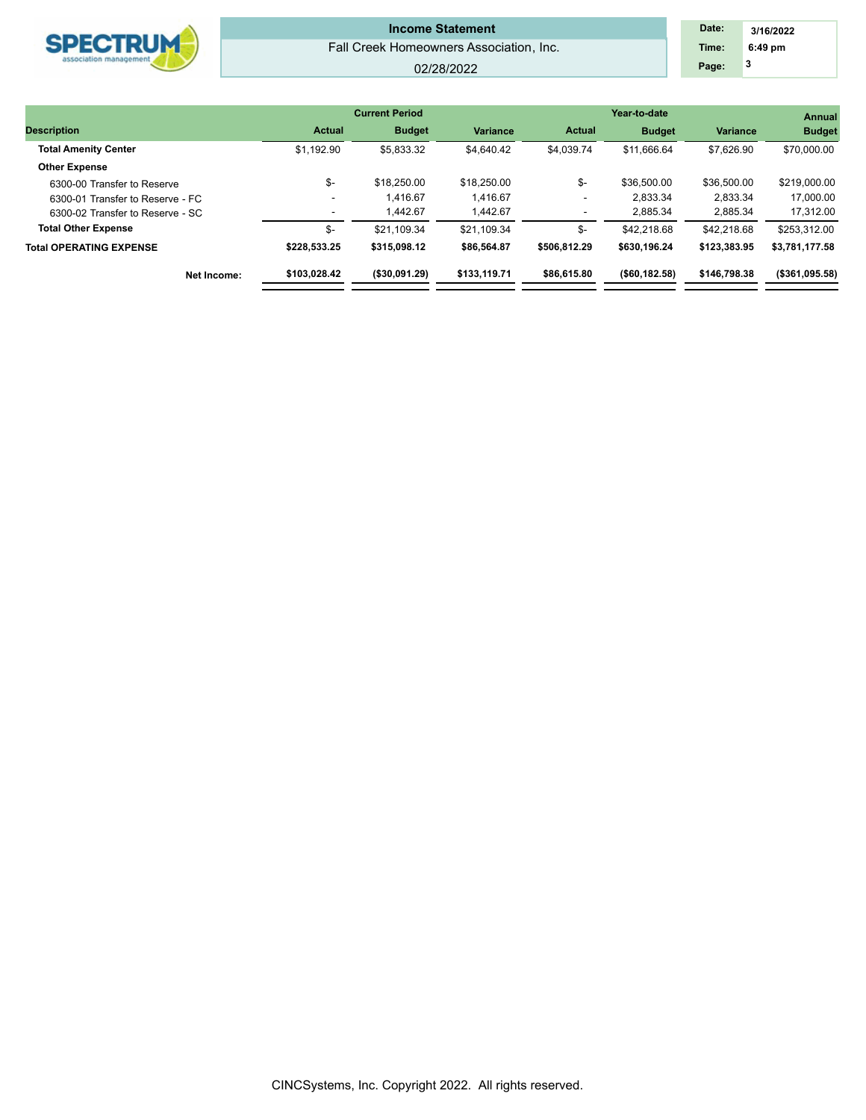| <b>ECTRUM</b> |
|---------------|
|---------------|

#### 02/28/2022

| Date: | 3/16/2022 |  |
|-------|-----------|--|
| Time: | $6:49$ pm |  |
| Page: | 3         |  |

|                                  |               | <b>Current Period</b> |                 |               | Year-to-date    |                 | <b>Annual</b><br><b>Budget</b> |  |
|----------------------------------|---------------|-----------------------|-----------------|---------------|-----------------|-----------------|--------------------------------|--|
| <b>Description</b>               | <b>Actual</b> | <b>Budget</b>         | <b>Variance</b> | <b>Actual</b> | <b>Budget</b>   | <b>Variance</b> |                                |  |
| <b>Total Amenity Center</b>      | \$1.192.90    | \$5.833.32            | \$4.640.42      | \$4,039.74    | \$11.666.64     | \$7.626.90      | \$70,000.00                    |  |
| <b>Other Expense</b>             |               |                       |                 |               |                 |                 |                                |  |
| 6300-00 Transfer to Reserve      | \$-           | \$18,250.00           | \$18,250.00     | \$-           | \$36,500.00     | \$36,500.00     | \$219,000.00                   |  |
| 6300-01 Transfer to Reserve - FC |               | 1.416.67              | 1.416.67        |               | 2.833.34        | 2.833.34        | 17.000.00                      |  |
| 6300-02 Transfer to Reserve - SC | ٠             | 1.442.67              | .442.67         |               | 2,885.34        | 2.885.34        | 17.312.00                      |  |
| <b>Total Other Expense</b>       | \$-           | \$21.109.34           | \$21.109.34     | \$-           | \$42,218.68     | \$42,218.68     | \$253.312.00                   |  |
| <b>Total OPERATING EXPENSE</b>   | \$228.533.25  | \$315,098.12          | \$86,564.87     | \$506,812.29  | \$630,196.24    | \$123,383.95    | \$3,781,177.58                 |  |
| Net Income:                      | \$103,028.42  | ( \$30,091.29)        | \$133,119.71    | \$86,615.80   | ( \$60, 182.58) | \$146,798,38    | ( \$361,095.58)                |  |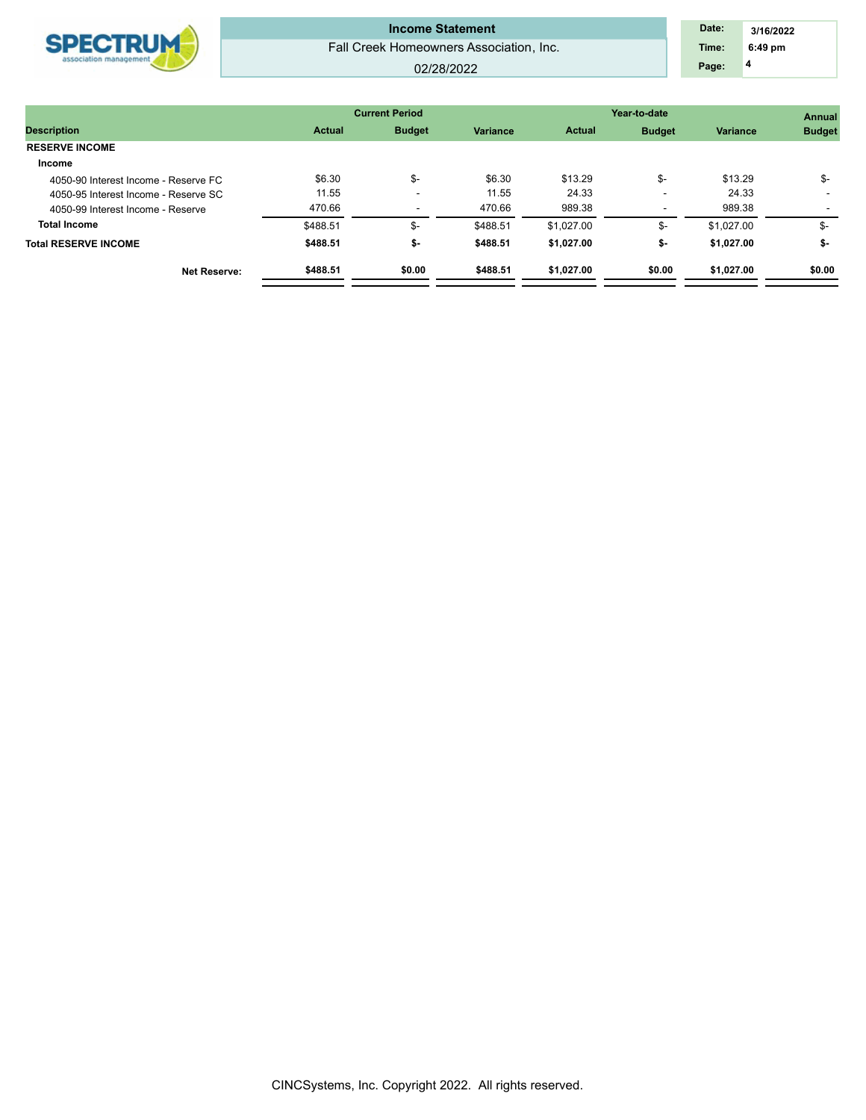

#### 02/28/2022

 **4 Time: 6:49 pm 3/16/2022 Date: Page:**

|                                      |               | <b>Current Period</b> |                 | Year-to-date  | Annual        |                 |               |
|--------------------------------------|---------------|-----------------------|-----------------|---------------|---------------|-----------------|---------------|
| <b>Description</b>                   | <b>Actual</b> | <b>Budget</b>         | <b>Variance</b> | <b>Actual</b> | <b>Budget</b> | <b>Variance</b> | <b>Budget</b> |
| <b>RESERVE INCOME</b>                |               |                       |                 |               |               |                 |               |
| Income                               |               |                       |                 |               |               |                 |               |
| 4050-90 Interest Income - Reserve FC | \$6.30        | \$-                   | \$6.30          | \$13.29       | \$-           | \$13.29         | \$-           |
| 4050-95 Interest Income - Reserve SC | 11.55         | <b>100</b>            | 11.55           | 24.33         |               | 24.33           |               |
| 4050-99 Interest Income - Reserve    | 470.66        | -                     | 470.66          | 989.38        |               | 989.38          |               |
| <b>Total Income</b>                  | \$488.51      | \$-                   | \$488.51        | \$1,027.00    | \$-           | \$1.027.00      | \$-           |
| <b>Total RESERVE INCOME</b>          | \$488.51      | \$-                   | \$488.51        | \$1.027.00    | \$-           | \$1,027.00      | \$-           |
| <b>Net Reserve:</b>                  | \$488.51      | \$0.00                | \$488.51        | \$1.027.00    | \$0.00        | \$1,027.00      | \$0.00        |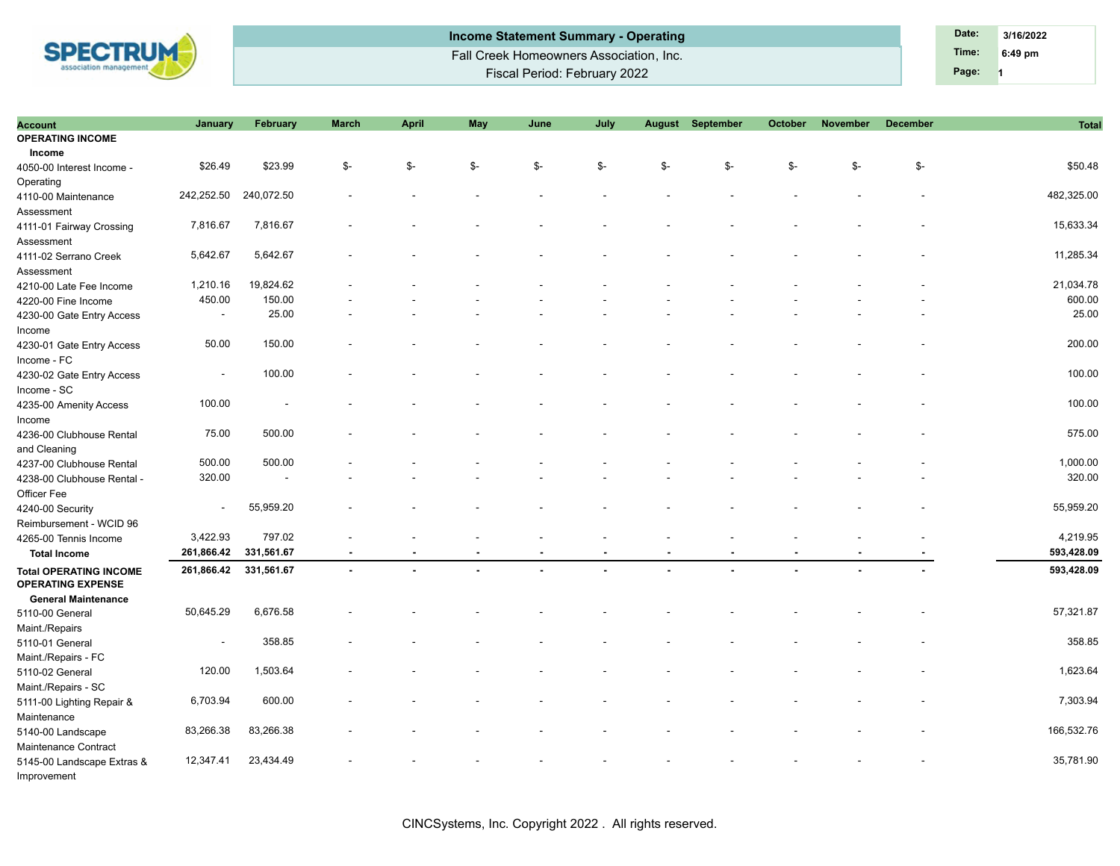

**Page:** Fall Creek Homeowners Association, Inc. Fiscal Period: February 2022 **Income Statement Summary - Operating Date: Date: Date: Date: 3/16/2022** 

**1 Time: 6:49 pm**

| <b>Account</b>                                                                          | January                  | February   | <b>March</b> | <b>April</b> | <b>May</b> | June | July |     | August September | October | November | <b>December</b> | <b>Total</b> |
|-----------------------------------------------------------------------------------------|--------------------------|------------|--------------|--------------|------------|------|------|-----|------------------|---------|----------|-----------------|--------------|
| <b>OPERATING INCOME</b>                                                                 |                          |            |              |              |            |      |      |     |                  |         |          |                 |              |
| Income                                                                                  |                          |            |              |              |            |      |      |     |                  |         |          |                 |              |
| 4050-00 Interest Income -                                                               | \$26.49                  | \$23.99    | \$-          | \$-          | \$-        | \$-  | \$-  | \$- | \$-              | \$-     | \$-      | \$-             | \$50.48      |
| Operating                                                                               |                          |            |              |              |            |      |      |     |                  |         |          |                 |              |
| 4110-00 Maintenance                                                                     | 242,252.50               | 240,072.50 |              |              |            |      |      |     |                  |         |          |                 | 482,325.00   |
| Assessment                                                                              |                          |            |              |              |            |      |      |     |                  |         |          |                 |              |
| 4111-01 Fairway Crossing                                                                | 7,816.67                 | 7,816.67   |              |              |            |      |      |     |                  |         |          |                 | 15,633.34    |
| Assessment                                                                              |                          |            |              |              |            |      |      |     |                  |         |          |                 |              |
| 4111-02 Serrano Creek                                                                   | 5,642.67                 | 5,642.67   |              |              |            |      |      |     |                  |         |          |                 | 11,285.34    |
| Assessment                                                                              |                          |            |              |              |            |      |      |     |                  |         |          |                 |              |
| 4210-00 Late Fee Income                                                                 | 1,210.16                 | 19,824.62  |              |              |            |      |      |     |                  |         |          |                 | 21,034.78    |
| 4220-00 Fine Income                                                                     | 450.00                   | 150.00     |              |              |            |      |      |     |                  |         |          |                 | 600.00       |
| 4230-00 Gate Entry Access                                                               | $\overline{\phantom{a}}$ | 25.00      |              |              |            |      |      |     |                  |         |          |                 | 25.00        |
| Income                                                                                  |                          |            |              |              |            |      |      |     |                  |         |          |                 |              |
| 4230-01 Gate Entry Access                                                               | 50.00                    | 150.00     |              |              |            |      |      |     |                  |         |          |                 | 200.00       |
| Income - FC                                                                             |                          |            |              |              |            |      |      |     |                  |         |          |                 |              |
| 4230-02 Gate Entry Access                                                               | $\overline{\phantom{a}}$ | 100.00     |              |              |            |      |      |     |                  |         |          |                 | 100.00       |
| Income - SC                                                                             |                          |            |              |              |            |      |      |     |                  |         |          |                 |              |
| 4235-00 Amenity Access                                                                  | 100.00                   |            |              |              |            |      |      |     |                  |         |          |                 | 100.00       |
| Income                                                                                  |                          |            |              |              |            |      |      |     |                  |         |          |                 |              |
| 4236-00 Clubhouse Rental                                                                | 75.00                    | 500.00     |              |              |            |      |      |     |                  |         |          |                 | 575.00       |
| and Cleaning                                                                            |                          |            |              |              |            |      |      |     |                  |         |          |                 |              |
| 4237-00 Clubhouse Rental                                                                | 500.00                   | 500.00     |              |              |            |      |      |     |                  |         |          |                 | 1,000.00     |
| 4238-00 Clubhouse Rental -                                                              | 320.00                   |            |              |              |            |      |      |     |                  |         |          |                 | 320.00       |
| Officer Fee                                                                             |                          |            |              |              |            |      |      |     |                  |         |          |                 |              |
| 4240-00 Security                                                                        | $\overline{\phantom{a}}$ | 55,959.20  |              |              |            |      |      |     |                  |         |          |                 | 55,959.20    |
| Reimbursement - WCID 96                                                                 |                          |            |              |              |            |      |      |     |                  |         |          |                 |              |
| 4265-00 Tennis Income                                                                   | 3,422.93                 | 797.02     |              |              |            |      |      |     |                  |         |          |                 | 4,219.95     |
| <b>Total Income</b>                                                                     | 261,866.42               | 331,561.67 |              |              |            |      |      |     |                  |         |          |                 | 593,428.09   |
| <b>Total OPERATING INCOME</b><br><b>OPERATING EXPENSE</b><br><b>General Maintenance</b> | 261,866.42               | 331,561.67 |              |              |            |      |      |     |                  |         |          |                 | 593,428.09   |
| 5110-00 General                                                                         | 50,645.29                | 6,676.58   |              |              |            |      |      |     |                  |         |          |                 | 57,321.87    |
| Maint./Repairs                                                                          |                          |            |              |              |            |      |      |     |                  |         |          |                 |              |
| 5110-01 General                                                                         | $\overline{\phantom{a}}$ | 358.85     |              |              |            |      |      |     |                  |         |          |                 | 358.85       |
| Maint./Repairs - FC                                                                     |                          |            |              |              |            |      |      |     |                  |         |          |                 |              |
| 5110-02 General                                                                         | 120.00                   | 1,503.64   |              |              |            |      |      |     |                  |         |          |                 | 1,623.64     |
| Maint./Repairs - SC                                                                     |                          |            |              |              |            |      |      |     |                  |         |          |                 |              |
| 5111-00 Lighting Repair &                                                               | 6,703.94                 | 600.00     |              |              |            |      |      |     |                  |         |          |                 | 7,303.94     |
| Maintenance                                                                             |                          |            |              |              |            |      |      |     |                  |         |          |                 |              |
|                                                                                         | 83,266.38                | 83,266.38  |              |              |            |      |      |     |                  |         |          |                 | 166,532.76   |
| 5140-00 Landscape                                                                       |                          |            |              |              |            |      |      |     |                  |         |          |                 |              |
| Maintenance Contract                                                                    | 12,347.41                | 23,434.49  |              |              |            |      |      |     |                  |         |          |                 | 35,781.90    |
| 5145-00 Landscape Extras &                                                              |                          |            |              |              |            |      |      |     |                  |         |          |                 |              |
| Improvement                                                                             |                          |            |              |              |            |      |      |     |                  |         |          |                 |              |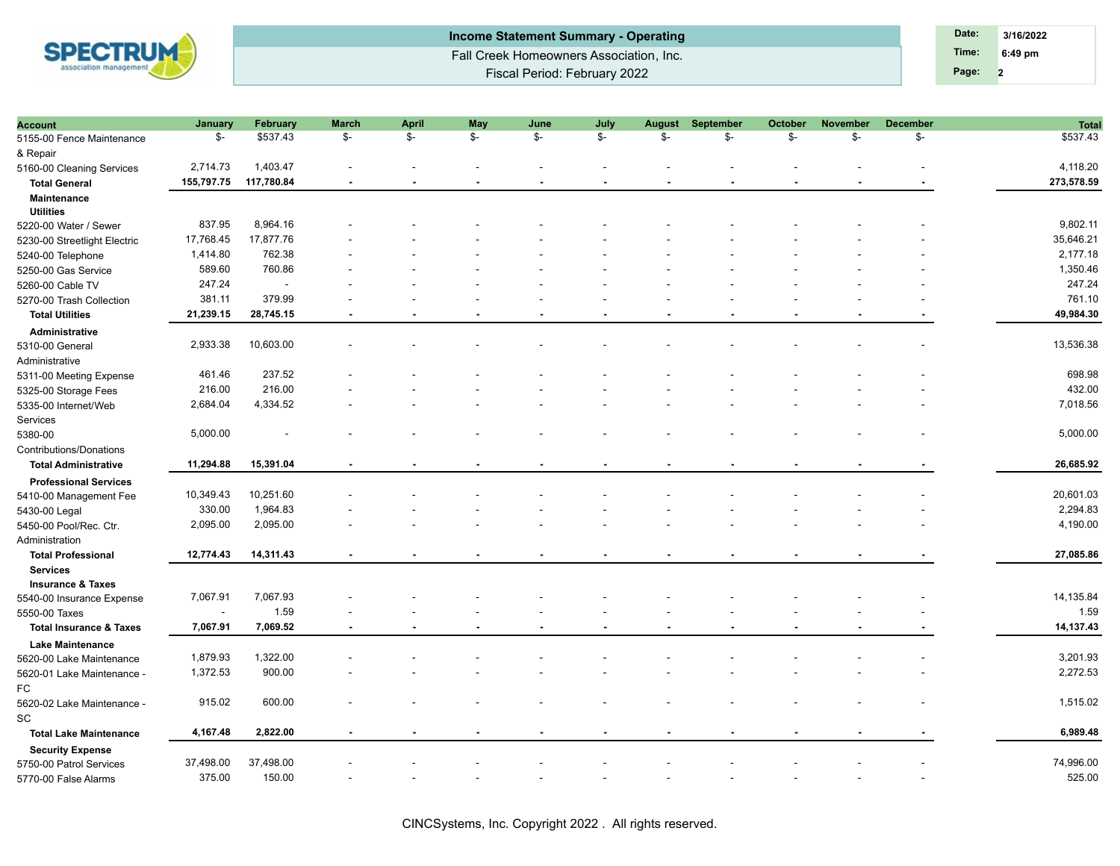

| Income Statement Summary - Operating    | Date: | 3/16/2022         |
|-----------------------------------------|-------|-------------------|
| Fall Creek Homeowners Association, Inc. | Time: | $6:49 \text{ pm}$ |
| Fiscal Period: February 2022            | Page: |                   |

| <b>Account</b>                     | January    | February   | <b>March</b>   | April          | May | June                     | July | <b>August</b> | September | October                  | <b>November</b> | <b>December</b> | <b>Total</b> |
|------------------------------------|------------|------------|----------------|----------------|-----|--------------------------|------|---------------|-----------|--------------------------|-----------------|-----------------|--------------|
| 5155-00 Fence Maintenance          | \$-        | \$537.43   | \$-            | \$-            | \$- | \$-                      | \$-  | \$-           | \$-       | \$-                      | \$-             | \$-             | \$537.43     |
| & Repair                           |            |            |                |                |     |                          |      |               |           |                          |                 |                 |              |
| 5160-00 Cleaning Services          | 2,714.73   | 1,403.47   |                |                |     |                          |      |               |           |                          |                 |                 | 4,118.20     |
| <b>Total General</b>               | 155,797.75 | 117,780.84 |                |                |     |                          |      |               |           |                          |                 |                 | 273,578.59   |
| Maintenance                        |            |            |                |                |     |                          |      |               |           |                          |                 |                 |              |
| <b>Utilities</b>                   |            |            |                |                |     |                          |      |               |           |                          |                 |                 |              |
| 5220-00 Water / Sewer              | 837.95     | 8,964.16   |                |                |     |                          |      |               |           |                          |                 |                 | 9,802.11     |
| 5230-00 Streetlight Electric       | 17,768.45  | 17,877.76  |                |                |     |                          |      |               |           |                          |                 |                 | 35,646.21    |
| 5240-00 Telephone                  | 1,414.80   | 762.38     |                |                |     |                          |      |               |           |                          |                 |                 | 2,177.18     |
| 5250-00 Gas Service                | 589.60     | 760.86     |                |                |     |                          |      |               |           |                          |                 |                 | 1,350.46     |
| 5260-00 Cable TV                   | 247.24     | $\sim$     |                |                |     |                          |      |               |           |                          |                 |                 | 247.24       |
| 5270-00 Trash Collection           | 381.11     | 379.99     |                |                |     |                          |      |               |           |                          |                 |                 | 761.10       |
| <b>Total Utilities</b>             | 21,239.15  | 28,745.15  |                |                |     |                          |      |               |           |                          |                 |                 | 49,984.30    |
| Administrative                     |            |            |                |                |     |                          |      |               |           |                          |                 |                 |              |
| 5310-00 General                    | 2,933.38   | 10,603.00  |                |                |     |                          |      |               |           |                          |                 |                 | 13,536.38    |
| Administrative                     |            |            |                |                |     |                          |      |               |           |                          |                 |                 |              |
| 5311-00 Meeting Expense            | 461.46     | 237.52     |                |                |     |                          |      |               |           |                          |                 |                 | 698.98       |
| 5325-00 Storage Fees               | 216.00     | 216.00     |                |                |     |                          |      |               |           |                          |                 |                 | 432.00       |
| 5335-00 Internet/Web               | 2,684.04   | 4,334.52   |                |                |     |                          |      |               |           |                          |                 |                 | 7,018.56     |
| Services                           |            |            |                |                |     |                          |      |               |           |                          |                 |                 |              |
| 5380-00                            | 5,000.00   |            |                |                |     |                          |      |               |           |                          |                 |                 | 5,000.00     |
| Contributions/Donations            |            |            |                |                |     |                          |      |               |           |                          |                 |                 |              |
| <b>Total Administrative</b>        | 11,294.88  | 15,391.04  | $\blacksquare$ | $\blacksquare$ |     | $\overline{\phantom{a}}$ |      |               |           | $\overline{\phantom{a}}$ |                 |                 | 26,685.92    |
| <b>Professional Services</b>       |            |            |                |                |     |                          |      |               |           |                          |                 |                 |              |
| 5410-00 Management Fee             | 10,349.43  | 10,251.60  |                |                |     |                          |      |               |           |                          |                 |                 | 20,601.03    |
| 5430-00 Legal                      | 330.00     | 1,964.83   |                |                |     |                          |      |               |           |                          |                 |                 | 2,294.83     |
| 5450-00 Pool/Rec. Ctr.             | 2,095.00   | 2,095.00   |                |                |     |                          |      |               |           |                          |                 |                 | 4,190.00     |
| Administration                     |            |            |                |                |     |                          |      |               |           |                          |                 |                 |              |
|                                    |            |            |                |                |     |                          |      |               |           |                          |                 |                 |              |
| <b>Total Professional</b>          | 12,774.43  | 14,311.43  | $\blacksquare$ |                |     |                          |      |               |           |                          |                 |                 | 27,085.86    |
| <b>Services</b>                    |            |            |                |                |     |                          |      |               |           |                          |                 |                 |              |
| <b>Insurance &amp; Taxes</b>       | 7,067.91   | 7,067.93   |                |                |     |                          |      |               |           |                          |                 |                 | 14,135.84    |
| 5540-00 Insurance Expense          | $\sim$     | 1.59       |                |                |     |                          |      |               |           |                          |                 |                 | 1.59         |
| 5550-00 Taxes                      | 7,067.91   | 7,069.52   |                |                |     |                          |      |               |           |                          |                 |                 | 14,137.43    |
| <b>Total Insurance &amp; Taxes</b> |            |            |                |                |     |                          |      |               |           |                          |                 |                 |              |
| <b>Lake Maintenance</b>            |            |            |                |                |     |                          |      |               |           |                          |                 |                 |              |
| 5620-00 Lake Maintenance           | 1,879.93   | 1,322.00   |                |                |     |                          |      |               |           |                          |                 |                 | 3,201.93     |
| 5620-01 Lake Maintenance -         | 1,372.53   | 900.00     |                |                |     |                          |      |               |           |                          |                 |                 | 2,272.53     |
| FC                                 |            |            |                |                |     |                          |      |               |           |                          |                 |                 |              |
| 5620-02 Lake Maintenance -         | 915.02     | 600.00     |                |                |     |                          |      |               |           |                          |                 |                 | 1,515.02     |
| $\operatorname{\textsf{SC}}$       |            |            |                |                |     |                          |      |               |           |                          |                 |                 |              |
| <b>Total Lake Maintenance</b>      | 4,167.48   | 2,822.00   | $\blacksquare$ |                |     |                          |      |               |           |                          |                 |                 | 6,989.48     |
| <b>Security Expense</b>            |            |            |                |                |     |                          |      |               |           |                          |                 |                 |              |
| 5750-00 Patrol Services            | 37,498.00  | 37,498.00  |                |                |     |                          |      |               |           |                          |                 |                 | 74,996.00    |
| 5770-00 False Alarms               | 375.00     | 150.00     |                |                |     |                          |      |               |           |                          |                 |                 | 525.00       |
|                                    |            |            |                |                |     |                          |      |               |           |                          |                 |                 |              |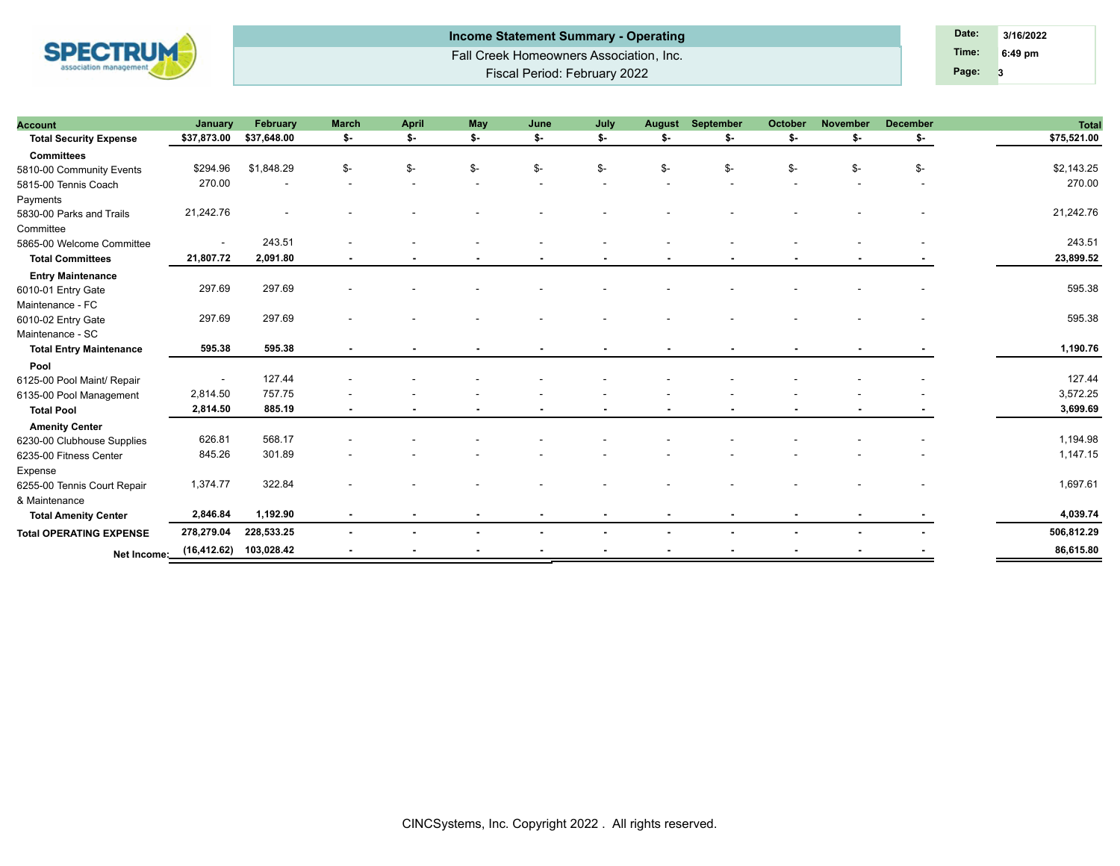

Fall Creek Homeowners Association, Inc. Fiscal Period: February 2022 **Income Statement Summary - Operating Date: Date: Date: Date: 3/16/2022** 

**3 Time: 6:49 pm Page:**

| <b>Account</b>                 | January                  | February    | <b>March</b> | <b>April</b> | May            | June | July | <b>August</b> | September | October | November | <b>December</b> | <b>Total</b> |
|--------------------------------|--------------------------|-------------|--------------|--------------|----------------|------|------|---------------|-----------|---------|----------|-----------------|--------------|
| <b>Total Security Expense</b>  | \$37,873.00              | \$37,648.00 | \$-          | \$-          | \$-            | \$-  | \$-  | \$-           | \$-       | \$-     | \$-      | \$-             | \$75,521.00  |
| <b>Committees</b>              |                          |             |              |              |                |      |      |               |           |         |          |                 |              |
| 5810-00 Community Events       | \$294.96                 | \$1,848.29  | \$-          | \$-          | \$-            | \$-  | \$-  | \$-           | \$-       | \$-     | \$-      | $S-$            | \$2,143.25   |
| 5815-00 Tennis Coach           | 270.00                   |             |              |              |                |      |      |               |           |         |          |                 | 270.00       |
| Payments                       |                          |             |              |              |                |      |      |               |           |         |          |                 |              |
| 5830-00 Parks and Trails       | 21,242.76                |             |              |              |                |      |      |               |           |         |          |                 | 21,242.76    |
| Committee                      |                          |             |              |              |                |      |      |               |           |         |          |                 |              |
| 5865-00 Welcome Committee      | $\overline{\phantom{a}}$ | 243.51      |              |              |                |      |      |               |           |         |          |                 | 243.51       |
| <b>Total Committees</b>        | 21,807.72                | 2,091.80    |              |              |                |      |      |               |           |         |          |                 | 23,899.52    |
| <b>Entry Maintenance</b>       |                          |             |              |              |                |      |      |               |           |         |          |                 |              |
| 6010-01 Entry Gate             | 297.69                   | 297.69      |              |              |                |      |      |               |           |         |          |                 | 595.38       |
| Maintenance - FC               |                          |             |              |              |                |      |      |               |           |         |          |                 |              |
| 6010-02 Entry Gate             | 297.69                   | 297.69      |              |              |                |      |      |               |           |         |          |                 | 595.38       |
| Maintenance - SC               |                          |             |              |              |                |      |      |               |           |         |          |                 |              |
| <b>Total Entry Maintenance</b> | 595.38                   | 595.38      |              |              |                |      |      |               |           |         |          |                 | 1,190.76     |
| Pool                           |                          |             |              |              |                |      |      |               |           |         |          |                 |              |
| 6125-00 Pool Maint/ Repair     |                          | 127.44      |              |              |                |      |      |               |           |         |          |                 | 127.44       |
| 6135-00 Pool Management        | 2,814.50                 | 757.75      |              |              |                |      |      |               |           |         |          |                 | 3,572.25     |
| <b>Total Pool</b>              | 2,814.50                 | 885.19      |              |              |                |      |      |               |           |         |          |                 | 3,699.69     |
| <b>Amenity Center</b>          |                          |             |              |              |                |      |      |               |           |         |          |                 |              |
| 6230-00 Clubhouse Supplies     | 626.81                   | 568.17      |              |              |                |      |      |               |           |         |          |                 | 1,194.98     |
| 6235-00 Fitness Center         | 845.26                   | 301.89      |              |              |                |      |      |               |           |         |          |                 | 1,147.15     |
| Expense                        |                          |             |              |              |                |      |      |               |           |         |          |                 |              |
| 6255-00 Tennis Court Repair    | 1,374.77                 | 322.84      |              |              |                |      |      |               |           |         |          |                 | 1,697.61     |
| & Maintenance                  |                          |             |              |              |                |      |      |               |           |         |          |                 |              |
| <b>Total Amenity Center</b>    | 2,846.84                 | 1,192.90    |              |              |                |      |      |               |           |         |          |                 | 4,039.74     |
| <b>Total OPERATING EXPENSE</b> | 278,279.04               | 228,533.25  |              |              |                |      |      |               |           |         |          |                 | 506,812.29   |
|                                | (16, 412.62)             | 103,028.42  |              |              | $\blacksquare$ |      |      |               |           |         |          |                 | 86,615.80    |
| Net Income:                    |                          |             |              |              |                |      |      |               |           |         |          |                 |              |